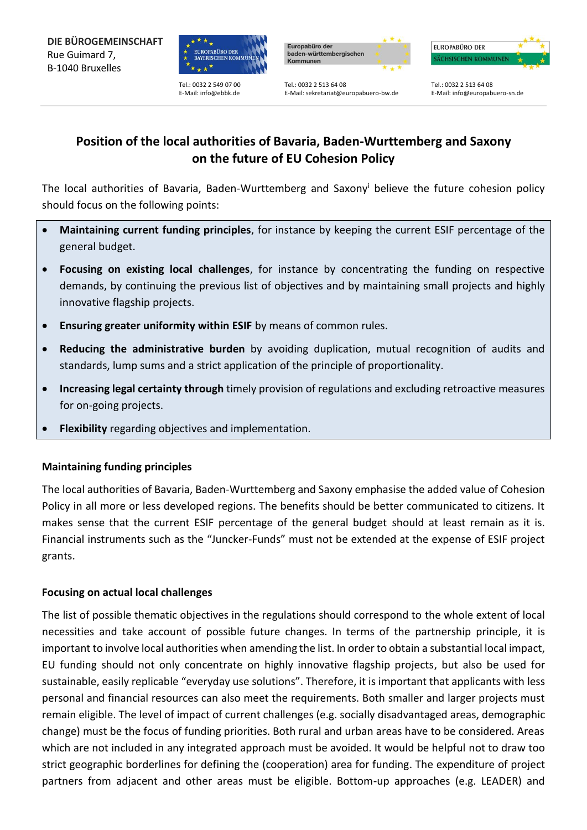

Tel.: 0032 2 549 07 00 E-Mail[: info@ebbk.de](mailto:info@ebbk.de)



E-Mail[: sekretariat@europabuero-bw.de](mailto:sekretariat@europabuero-bw.de)



Tel.: 0032 2 513 64 08 E-Mail: info@europabuero-sn.de

# **Position of the local authorities of Bavaria, Baden-Wurttemberg and Saxony on the future of EU Cohesion Policy**

Tel.: 0032 2 513 64 08

The local authorities of Bavaria, Baden-Wurttemberg and Saxony<sup>i</sup> believe the future cohesion policy should focus on the following points:

- **Maintaining current funding principles**, for instance by keeping the current ESIF percentage of the general budget.
- **Focusing on existing local challenges**, for instance by concentrating the funding on respective demands, by continuing the previous list of objectives and by maintaining small projects and highly innovative flagship projects.
- **Ensuring greater uniformity within ESIF** by means of common rules.
- **Reducing the administrative burden** by avoiding duplication, mutual recognition of audits and standards, lump sums and a strict application of the principle of proportionality.
- **Increasing legal certainty through** timely provision of regulations and excluding retroactive measures for on-going projects.
- **Flexibility** regarding objectives and implementation.

### **Maintaining funding principles**

The local authorities of Bavaria, Baden-Wurttemberg and Saxony emphasise the added value of Cohesion Policy in all more or less developed regions. The benefits should be better communicated to citizens. It makes sense that the current ESIF percentage of the general budget should at least remain as it is. Financial instruments such as the "Juncker-Funds" must not be extended at the expense of ESIF project grants.

### **Focusing on actual local challenges**

The list of possible thematic objectives in the regulations should correspond to the whole extent of local necessities and take account of possible future changes. In terms of the partnership principle, it is important to involve local authorities when amending the list. In order to obtain a substantial local impact, EU funding should not only concentrate on highly innovative flagship projects, but also be used for sustainable, easily replicable "everyday use solutions". Therefore, it is important that applicants with less personal and financial resources can also meet the requirements. Both smaller and larger projects must remain eligible. The level of impact of current challenges (e.g. socially disadvantaged areas, demographic change) must be the focus of funding priorities. Both rural and urban areas have to be considered. Areas which are not included in any integrated approach must be avoided. It would be helpful not to draw too strict geographic borderlines for defining the (cooperation) area for funding. The expenditure of project partners from adjacent and other areas must be eligible. Bottom-up approaches (e.g. LEADER) and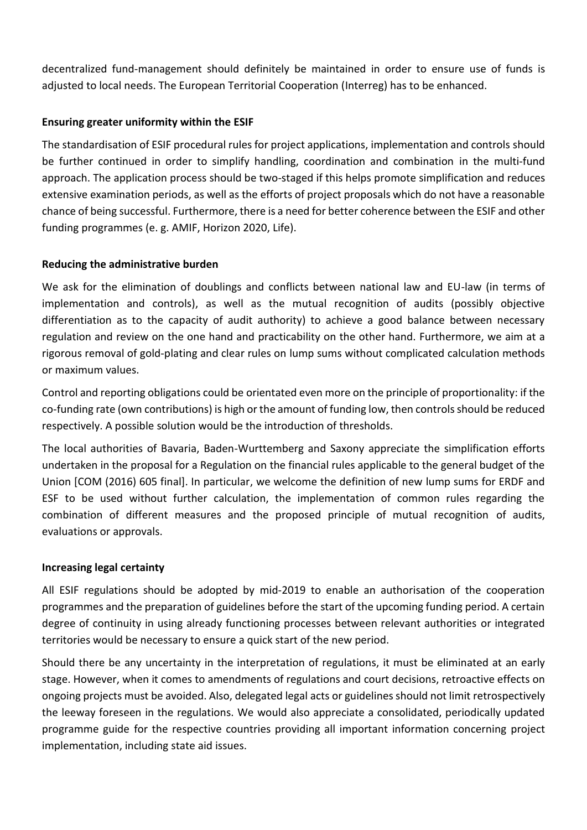decentralized fund-management should definitely be maintained in order to ensure use of funds is adjusted to local needs. The European Territorial Cooperation (Interreg) has to be enhanced.

### **Ensuring greater uniformity within the ESIF**

The standardisation of ESIF procedural rules for project applications, implementation and controls should be further continued in order to simplify handling, coordination and combination in the multi-fund approach. The application process should be two-staged if this helps promote simplification and reduces extensive examination periods, as well as the efforts of project proposals which do not have a reasonable chance of being successful. Furthermore, there is a need for better coherence between the ESIF and other funding programmes (e. g. AMIF, Horizon 2020, Life).

## **Reducing the administrative burden**

We ask for the elimination of doublings and conflicts between national law and EU-law (in terms of implementation and controls), as well as the mutual recognition of audits (possibly objective differentiation as to the capacity of audit authority) to achieve a good balance between necessary regulation and review on the one hand and practicability on the other hand. Furthermore, we aim at a rigorous removal of gold-plating and clear rules on lump sums without complicated calculation methods or maximum values.

Control and reporting obligations could be orientated even more on the principle of proportionality: if the co-funding rate (own contributions) is high or the amount of funding low, then controls should be reduced respectively. A possible solution would be the introduction of thresholds.

The local authorities of Bavaria, Baden-Wurttemberg and Saxony appreciate the simplification efforts undertaken in the proposal for a Regulation on the financial rules applicable to the general budget of the Union [COM (2016) 605 final]. In particular, we welcome the definition of new lump sums for ERDF and ESF to be used without further calculation, the implementation of common rules regarding the combination of different measures and the proposed principle of mutual recognition of audits, evaluations or approvals.

### **Increasing legal certainty**

All ESIF regulations should be adopted by mid-2019 to enable an authorisation of the cooperation programmes and the preparation of guidelines before the start of the upcoming funding period. A certain degree of continuity in using already functioning processes between relevant authorities or integrated territories would be necessary to ensure a quick start of the new period.

Should there be any uncertainty in the interpretation of regulations, it must be eliminated at an early stage. However, when it comes to amendments of regulations and court decisions, retroactive effects on ongoing projects must be avoided. Also, delegated legal acts or guidelines should not limit retrospectively the leeway foreseen in the regulations. We would also appreciate a consolidated, periodically updated programme guide for the respective countries providing all important information concerning project implementation, including state aid issues.